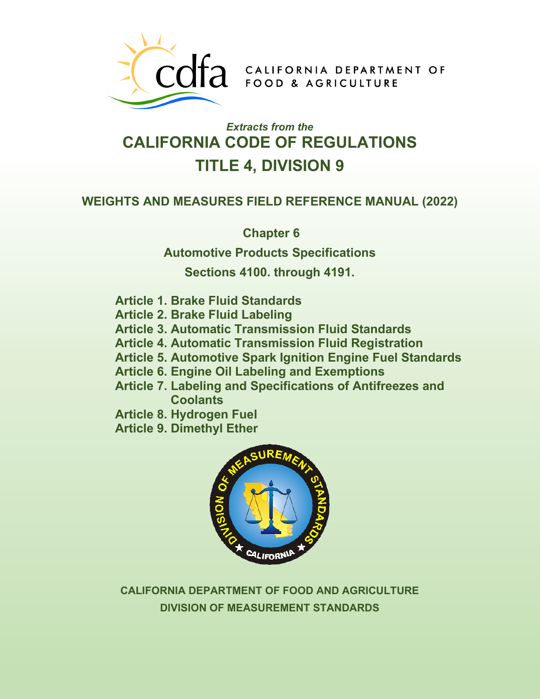

COTA CALIFORNIA DEPARTMENT OF

# *Extracts from the* **CALIFORNIA CODE OF REGULATIONS TITLE 4, DIVISION 9**

## **WEIGHTS AND MEASURES FIELD REFERENCE MANUAL (2022)**

**Chapter 6** 

**Automotive Products Specifications** 

**Sections 4100. through 4191.** 

- **Article 1. Brake Fluid Standards**
- **Article 2. Brake Fluid Labeling**
- **Article 3. Automatic Transmission Fluid Standards**
- **Article 4. Automatic Transmission Fluid Registration**
- **Article 5. Automotive Spark Ignition Engine Fuel Standards**
- **Article 6. Engine Oil Labeling and Exemptions**
- **Article 7. Labeling and Specifications of Antifreezes and Coolants**
- **Article 8. Hydrogen Fuel**
- **Article 9. Dimethyl Ether**



**CALIFORNIA DEPARTMENT OF FOOD AND AGRICULTURE DIVISION OF MEASUREMENT STANDARDS**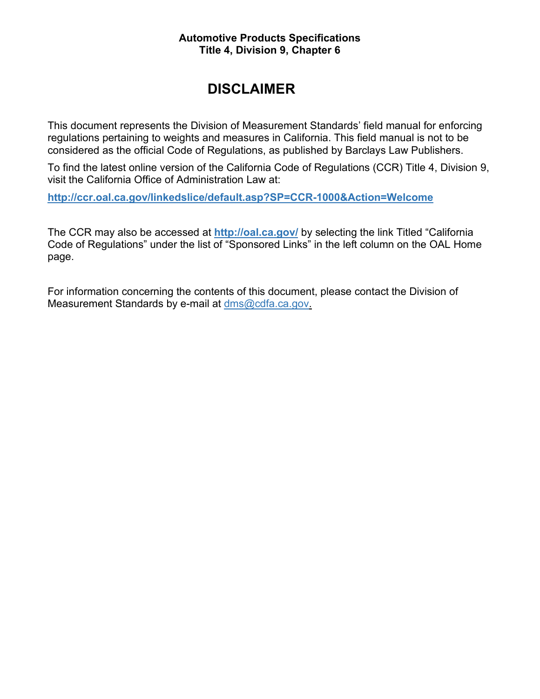#### **Automotive Products Specifications Title 4, Division 9, Chapter 6**

## **DISCLAIMER**

This document represents the Division of Measurement Standards' field manual for enforcing regulations pertaining to weights and measures in California. This field manual is not to be considered as the official Code of Regulations, as published by Barclays Law Publishers.

To find the latest online version of the California Code of Regulations (CCR) Title 4, Division 9, visit the California Office of Administration Law at:

**<http://ccr.oal.ca.gov/linkedslice/default.asp?SP=CCR-1000&Action=Welcome>**

The CCR may also be accessed at **<http://oal.ca.gov/>** by selecting the link Titled "California Code of Regulations" under the list of "Sponsored Links" in the left column on the OAL Home page.

For information concerning the contents of this document, please contact the Division of Measurement Standards by e-mail at [dms@cdfa.ca.gov.](mailto:dms@cdfa.ca.gov)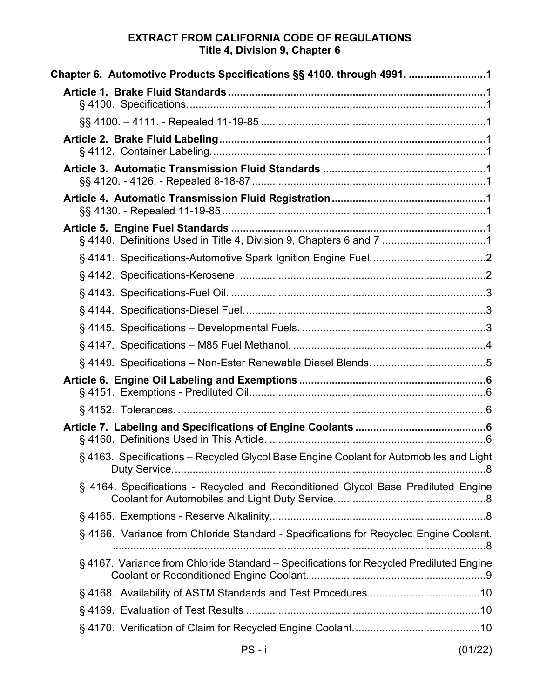## **EXTRACT FROM CALIFORNIA CODE OF REGULATIONS Title 4, Division 9, Chapter 6**

| Chapter 6. Automotive Products Specifications §§ 4100. through 4991. 1                  |
|-----------------------------------------------------------------------------------------|
|                                                                                         |
|                                                                                         |
|                                                                                         |
|                                                                                         |
|                                                                                         |
| § 4140. Definitions Used in Title 4, Division 9, Chapters 6 and 7 1                     |
|                                                                                         |
|                                                                                         |
|                                                                                         |
|                                                                                         |
|                                                                                         |
|                                                                                         |
|                                                                                         |
|                                                                                         |
|                                                                                         |
|                                                                                         |
| § 4163. Specifications - Recycled Glycol Base Engine Coolant for Automobiles and Light  |
| § 4164. Specifications - Recycled and Reconditioned Glycol Base Prediluted Engine       |
|                                                                                         |
| § 4166. Variance from Chloride Standard - Specifications for Recycled Engine Coolant.   |
| § 4167. Variance from Chloride Standard - Specifications for Recycled Prediluted Engine |
|                                                                                         |
|                                                                                         |
|                                                                                         |

PS - i (01/22)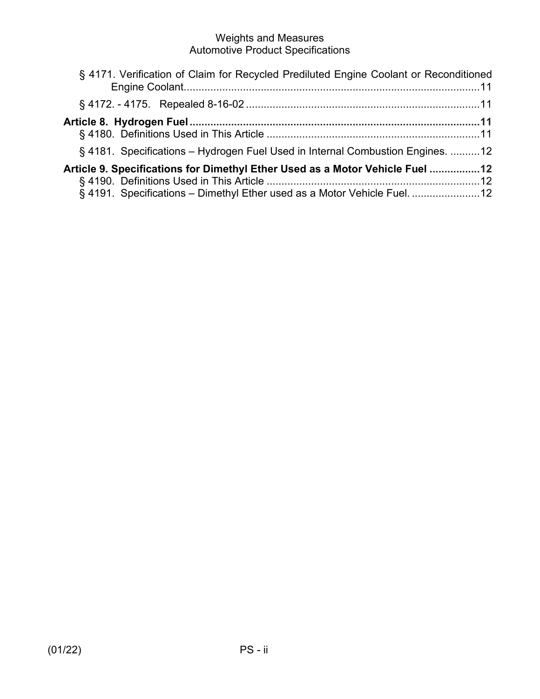| § 4171. Verification of Claim for Recycled Prediluted Engine Coolant or Reconditioned |
|---------------------------------------------------------------------------------------|
|                                                                                       |
| Article 8.  Hydrogen Fuel………………………………………………………………………………………11                          |
|                                                                                       |
| § 4181. Specifications – Hydrogen Fuel Used in Internal Combustion Engines. 12        |
| Article 9. Specifications for Dimethyl Ether Used as a Motor Vehicle Fuel 12          |
|                                                                                       |
| § 4191. Specifications - Dimethyl Ether used as a Motor Vehicle Fuel. 12              |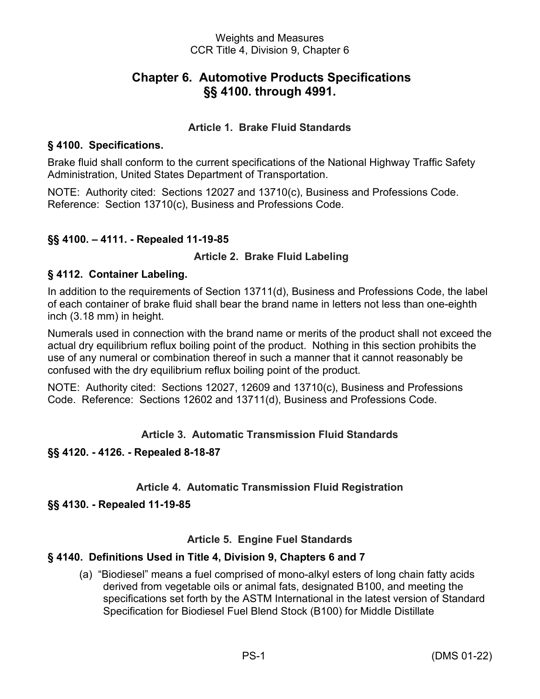## **Chapter 6. Automotive Products Specifications §§ 4100. through 4991.**

## **Article 1. Brake Fluid Standards**

#### <span id="page-4-2"></span><span id="page-4-1"></span><span id="page-4-0"></span>**§ 4100. Specifications.**

Brake fluid shall conform to the current specifications of the National Highway Traffic Safety Administration, United States Department of Transportation.

NOTE: Authority cited: Sections 12027 and 13710(c), Business and Professions Code. Reference: Section 13710(c), Business and Professions Code.

## <span id="page-4-3"></span>**§§ 4100. – 4111. - Repealed 11-19-85**

#### <span id="page-4-4"></span>**Article 2. Brake Fluid Labeling**

#### <span id="page-4-5"></span>**§ 4112. Container Labeling.**

In addition to the requirements of Section 13711(d), Business and Professions Code, the label of each container of brake fluid shall bear the brand name in letters not less than one-eighth inch (3.18 mm) in height.

Numerals used in connection with the brand name or merits of the product shall not exceed the actual dry equilibrium reflux boiling point of the product. Nothing in this section prohibits the use of any numeral or combination thereof in such a manner that it cannot reasonably be confused with the dry equilibrium reflux boiling point of the product.

NOTE: Authority cited: Sections 12027, 12609 and 13710(c), Business and Professions Code. Reference: Sections 12602 and 13711(d), Business and Professions Code.

#### **Article 3. Automatic Transmission Fluid Standards**

#### <span id="page-4-7"></span><span id="page-4-6"></span>**§§ 4120. - 4126. - Repealed 8-18-87**

#### **Article 4. Automatic Transmission Fluid Registration**

#### <span id="page-4-9"></span><span id="page-4-8"></span>**§§ 4130. - Repealed 11-19-85**

#### **Article 5. Engine Fuel Standards**

#### <span id="page-4-11"></span><span id="page-4-10"></span>**§ 4140. Definitions Used in Title 4, Division 9, Chapters 6 and 7**

(a) "Biodiesel" means a fuel comprised of mono-alkyl esters of long chain fatty acids derived from vegetable oils or animal fats, designated B100, and meeting the specifications set forth by the ASTM International in the latest version of Standard Specification for Biodiesel Fuel Blend Stock (B100) for Middle Distillate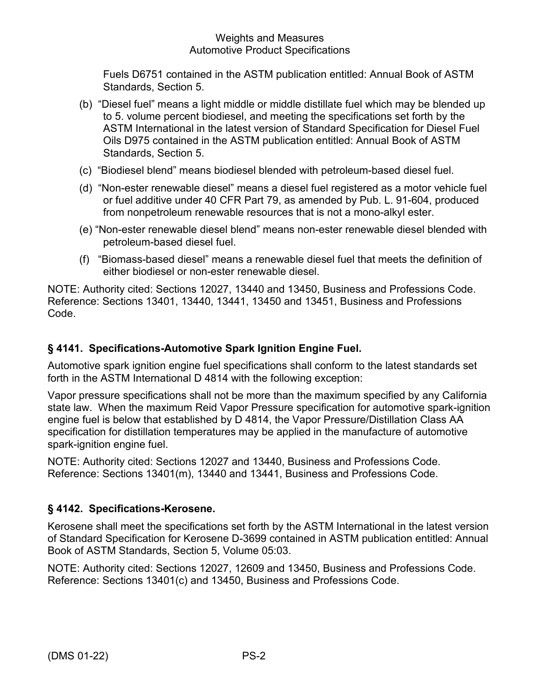Fuels D6751 contained in the ASTM publication entitled: Annual Book of ASTM Standards, Section 5.

- (b) "Diesel fuel" means a light middle or middle distillate fuel which may be blended up to 5. volume percent biodiesel, and meeting the specifications set forth by the ASTM International in the latest version of Standard Specification for Diesel Fuel Oils D975 contained in the ASTM publication entitled: Annual Book of ASTM Standards, Section 5.
- (c) "Biodiesel blend" means biodiesel blended with petroleum-based diesel fuel.
- (d) "Non-ester renewable diesel" means a diesel fuel registered as a motor vehicle fuel or fuel additive under 40 CFR Part 79, as amended by Pub. L. 91-604, produced from nonpetroleum renewable resources that is not a mono-alkyl ester.
- (e) "Non-ester renewable diesel blend" means non-ester renewable diesel blended with petroleum-based diesel fuel.
- (f) "Biomass-based diesel" means a renewable diesel fuel that meets the definition of either biodiesel or non-ester renewable diesel.

NOTE: Authority cited: Sections 12027, 13440 and 13450, Business and Professions Code. Reference: Sections 13401, 13440, 13441, 13450 and 13451, Business and Professions Code.

## <span id="page-5-0"></span>**§ 4141. Specifications-Automotive Spark Ignition Engine Fuel.**

Automotive spark ignition engine fuel specifications shall conform to the latest standards set forth in the ASTM International D 4814 with the following exception:

Vapor pressure specifications shall not be more than the maximum specified by any California state law. When the maximum Reid Vapor Pressure specification for automotive spark-ignition engine fuel is below that established by D 4814, the Vapor Pressure/Distillation Class AA specification for distillation temperatures may be applied in the manufacture of automotive spark-ignition engine fuel.

NOTE: Authority cited: Sections 12027 and 13440, Business and Professions Code. Reference: Sections 13401(m), 13440 and 13441, Business and Professions Code.

## <span id="page-5-1"></span>**§ 4142. Specifications-Kerosene.**

Kerosene shall meet the specifications set forth by the ASTM International in the latest version of Standard Specification for Kerosene D-3699 contained in ASTM publication entitled: Annual Book of ASTM Standards, Section 5, Volume 05:03.

NOTE: Authority cited: Sections 12027, 12609 and 13450, Business and Professions Code. Reference: Sections 13401(c) and 13450, Business and Professions Code.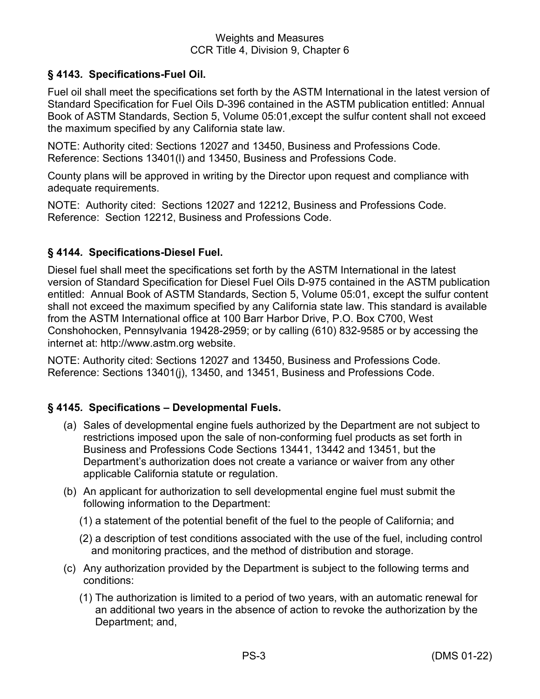## <span id="page-6-0"></span>**§ 4143***.* **Specifications-Fuel Oil.**

Fuel oil shall meet the specifications set forth by the ASTM International in the latest version of Standard Specification for Fuel Oils D-396 contained in the ASTM publication entitled: Annual Book of ASTM Standards, Section 5, Volume 05:01,except the sulfur content shall not exceed the maximum specified by any California state law.

NOTE: Authority cited: Sections 12027 and 13450, Business and Professions Code. Reference: Sections 13401(l) and 13450, Business and Professions Code.

County plans will be approved in writing by the Director upon request and compliance with adequate requirements.

NOTE: Authority cited: Sections 12027 and 12212, Business and Professions Code. Reference: Section 12212, Business and Professions Code.

#### <span id="page-6-1"></span>**§ 4144***.* **Specifications-Diesel Fuel.**

Diesel fuel shall meet the specifications set forth by the ASTM International in the latest version of Standard Specification for Diesel Fuel Oils D-975 contained in the ASTM publication entitled: Annual Book of ASTM Standards, Section 5, Volume 05:01, except the sulfur content shall not exceed the maximum specified by any California state law. This standard is available from the ASTM International office at 100 Barr Harbor Drive, P.O. Box C700, West Conshohocken, Pennsylvania 19428-2959; or by calling (610) 832-9585 or by accessing the internet at: http://www.astm.org website.

NOTE: Authority cited: Sections 12027 and 13450, Business and Professions Code. Reference: Sections 13401(j), 13450, and 13451, Business and Professions Code.

#### <span id="page-6-2"></span>**§ 4145***.* **Specifications – Developmental Fuels.**

- (a) Sales of developmental engine fuels authorized by the Department are not subject to restrictions imposed upon the sale of non-conforming fuel products as set forth in Business and Professions Code Sections 13441, 13442 and 13451, but the Department's authorization does not create a variance or waiver from any other applicable California statute or regulation.
- (b) An applicant for authorization to sell developmental engine fuel must submit the following information to the Department:
	- (1) a statement of the potential benefit of the fuel to the people of California; and
	- (2) a description of test conditions associated with the use of the fuel, including control and monitoring practices, and the method of distribution and storage.
- (c) Any authorization provided by the Department is subject to the following terms and conditions:
	- (1) The authorization is limited to a period of two years, with an automatic renewal for an additional two years in the absence of action to revoke the authorization by the Department; and,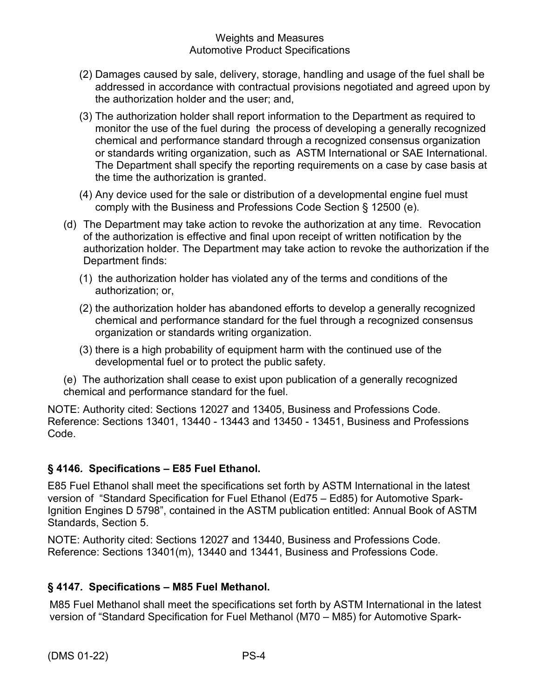- (2) Damages caused by sale, delivery, storage, handling and usage of the fuel shall be addressed in accordance with contractual provisions negotiated and agreed upon by the authorization holder and the user; and,
- (3) The authorization holder shall report information to the Department as required to monitor the use of the fuel during the process of developing a generally recognized chemical and performance standard through a recognized consensus organization or standards writing organization, such as ASTM International or SAE International. The Department shall specify the reporting requirements on a case by case basis at the time the authorization is granted.
- (4) Any device used for the sale or distribution of a developmental engine fuel must comply with the Business and Professions Code Section § 12500 (e).
- (d) The Department may take action to revoke the authorization at any time. Revocation of the authorization is effective and final upon receipt of written notification by the authorization holder. The Department may take action to revoke the authorization if the Department finds:
	- (1) the authorization holder has violated any of the terms and conditions of the authorization; or,
	- (2) the authorization holder has abandoned efforts to develop a generally recognized chemical and performance standard for the fuel through a recognized consensus organization or standards writing organization.
	- (3) there is a high probability of equipment harm with the continued use of the developmental fuel or to protect the public safety.
- (e) The authorization shall cease to exist upon publication of a generally recognized chemical and performance standard for the fuel.

NOTE: Authority cited: Sections 12027 and 13405, Business and Professions Code. Reference: Sections 13401, 13440 - 13443 and 13450 - 13451, Business and Professions Code.

## **§ 4146***.* **Specifications – E85 Fuel Ethanol.**

E85 Fuel Ethanol shall meet the specifications set forth by ASTM International in the latest version of "Standard Specification for Fuel Ethanol (Ed75 – Ed85) for Automotive Spark-Ignition Engines D 5798", contained in the ASTM publication entitled: Annual Book of ASTM Standards, Section 5.

NOTE: Authority cited: Sections 12027 and 13440, Business and Professions Code. Reference: Sections 13401(m), 13440 and 13441, Business and Professions Code.

## <span id="page-7-0"></span>**§ 4147***.* **Specifications – M85 Fuel Methanol.**

M85 Fuel Methanol shall meet the specifications set forth by ASTM International in the latest version of "Standard Specification for Fuel Methanol (M70 – M85) for Automotive Spark-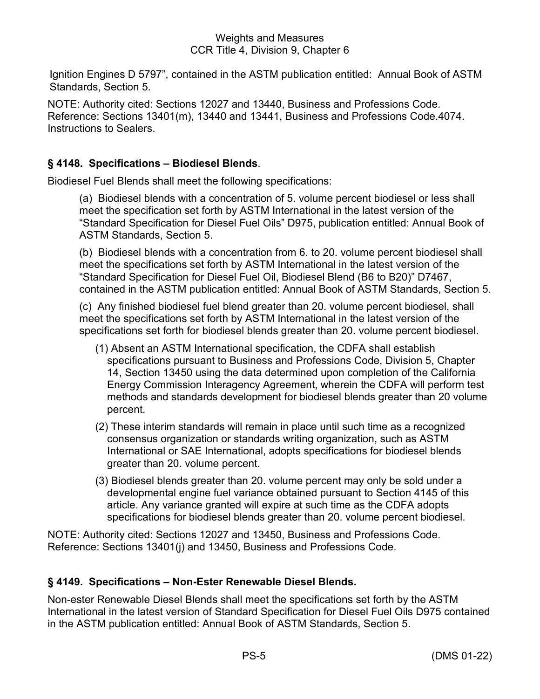Ignition Engines D 5797", contained in the ASTM publication entitled: Annual Book of ASTM Standards, Section 5.

NOTE: Authority cited: Sections 12027 and 13440, Business and Professions Code. Reference: Sections 13401(m), 13440 and 13441, Business and Professions Code.4074. Instructions to Sealers.

## **§ 4148***.* **Specifications – Biodiesel Blends**.

Biodiesel Fuel Blends shall meet the following specifications:

(a) Biodiesel blends with a concentration of 5. volume percent biodiesel or less shall meet the specification set forth by ASTM International in the latest version of the "Standard Specification for Diesel Fuel Oils" D975, publication entitled: Annual Book of ASTM Standards, Section 5.

(b) Biodiesel blends with a concentration from 6. to 20. volume percent biodiesel shall meet the specifications set forth by ASTM International in the latest version of the "Standard Specification for Diesel Fuel Oil, Biodiesel Blend (B6 to B20)" D7467, contained in the ASTM publication entitled: Annual Book of ASTM Standards, Section 5.

(c) Any finished biodiesel fuel blend greater than 20. volume percent biodiesel, shall meet the specifications set forth by ASTM International in the latest version of the specifications set forth for biodiesel blends greater than 20. volume percent biodiesel.

- (1) Absent an ASTM International specification, the CDFA shall establish specifications pursuant to Business and Professions Code, Division 5, Chapter 14, Section 13450 using the data determined upon completion of the California Energy Commission Interagency Agreement, wherein the CDFA will perform test methods and standards development for biodiesel blends greater than 20 volume percent.
- (2) These interim standards will remain in place until such time as a recognized consensus organization or standards writing organization, such as ASTM International or SAE International, adopts specifications for biodiesel blends greater than 20. volume percent.
- (3) Biodiesel blends greater than 20. volume percent may only be sold under a developmental engine fuel variance obtained pursuant to Section 4145 of this article. Any variance granted will expire at such time as the CDFA adopts specifications for biodiesel blends greater than 20. volume percent biodiesel.

NOTE: Authority cited: Sections 12027 and 13450, Business and Professions Code. Reference: Sections 13401(j) and 13450, Business and Professions Code.

## <span id="page-8-0"></span>**§ 4149***.* **Specifications – Non-Ester Renewable Diesel Blends.**

Non-ester Renewable Diesel Blends shall meet the specifications set forth by the ASTM International in the latest version of Standard Specification for Diesel Fuel Oils D975 contained in the ASTM publication entitled: Annual Book of ASTM Standards, Section 5.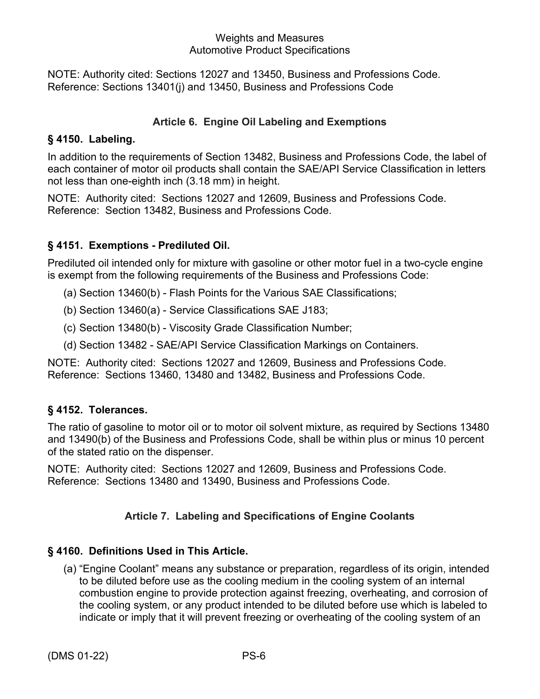NOTE: Authority cited: Sections 12027 and 13450, Business and Professions Code. Reference: Sections 13401(j) and 13450, Business and Professions Code

## **Article 6. Engine Oil Labeling and Exemptions**

## <span id="page-9-0"></span>**§ 4150. Labeling.**

In addition to the requirements of Section 13482, Business and Professions Code, the label of each container of motor oil products shall contain the SAE/API Service Classification in letters not less than one-eighth inch (3.18 mm) in height.

NOTE: Authority cited: Sections 12027 and 12609, Business and Professions Code. Reference: Section 13482, Business and Professions Code.

## <span id="page-9-1"></span>**§ 4151. Exemptions - Prediluted Oil.**

Prediluted oil intended only for mixture with gasoline or other motor fuel in a two-cycle engine is exempt from the following requirements of the Business and Professions Code:

- (a) Section 13460(b) Flash Points for the Various SAE Classifications;
- (b) Section 13460(a) Service Classifications SAE J183;
- (c) Section 13480(b) Viscosity Grade Classification Number;
- (d) Section 13482 SAE/API Service Classification Markings on Containers.

NOTE: Authority cited: Sections 12027 and 12609, Business and Professions Code. Reference: Sections 13460, 13480 and 13482, Business and Professions Code.

## <span id="page-9-2"></span>**§ 4152. Tolerances.**

The ratio of gasoline to motor oil or to motor oil solvent mixture, as required by Sections 13480 and 13490(b) of the Business and Professions Code, shall be within plus or minus 10 percent of the stated ratio on the dispenser.

NOTE: Authority cited: Sections 12027 and 12609, Business and Professions Code. Reference: Sections 13480 and 13490, Business and Professions Code.

## **Article 7. Labeling and Specifications of Engine Coolants**

## <span id="page-9-4"></span><span id="page-9-3"></span>**§ 4160. Definitions Used in This Article.**

(a) "Engine Coolant" means any substance or preparation, regardless of its origin, intended to be diluted before use as the cooling medium in the cooling system of an internal combustion engine to provide protection against freezing, overheating, and corrosion of the cooling system, or any product intended to be diluted before use which is labeled to indicate or imply that it will prevent freezing or overheating of the cooling system of an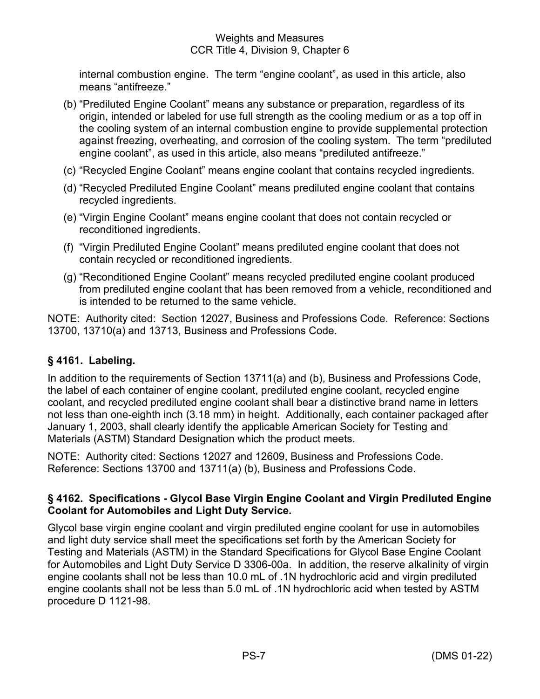internal combustion engine. The term "engine coolant", as used in this article, also means "antifreeze."

- (b) "Prediluted Engine Coolant" means any substance or preparation, regardless of its origin, intended or labeled for use full strength as the cooling medium or as a top off in the cooling system of an internal combustion engine to provide supplemental protection against freezing, overheating, and corrosion of the cooling system. The term "prediluted engine coolant", as used in this article, also means "prediluted antifreeze."
- (c) "Recycled Engine Coolant" means engine coolant that contains recycled ingredients.
- (d) "Recycled Prediluted Engine Coolant" means prediluted engine coolant that contains recycled ingredients.
- (e) "Virgin Engine Coolant" means engine coolant that does not contain recycled or reconditioned ingredients.
- (f) "Virgin Prediluted Engine Coolant" means prediluted engine coolant that does not contain recycled or reconditioned ingredients.
- (g) "Reconditioned Engine Coolant" means recycled prediluted engine coolant produced from prediluted engine coolant that has been removed from a vehicle, reconditioned and is intended to be returned to the same vehicle.

NOTE: Authority cited: Section 12027, Business and Professions Code. Reference: Sections 13700, 13710(a) and 13713, Business and Professions Code.

## **§ 4161. Labeling.**

In addition to the requirements of Section 13711(a) and (b), Business and Professions Code, the label of each container of engine coolant, prediluted engine coolant, recycled engine coolant, and recycled prediluted engine coolant shall bear a distinctive brand name in letters not less than one-eighth inch (3.18 mm) in height. Additionally, each container packaged after January 1, 2003, shall clearly identify the applicable American Society for Testing and Materials (ASTM) Standard Designation which the product meets.

NOTE: Authority cited: Sections 12027 and 12609, Business and Professions Code. Reference: Sections 13700 and 13711(a) (b), Business and Professions Code.

## **§ 4162. Specifications - Glycol Base Virgin Engine Coolant and Virgin Prediluted Engine Coolant for Automobiles and Light Duty Service.**

Glycol base virgin engine coolant and virgin prediluted engine coolant for use in automobiles and light duty service shall meet the specifications set forth by the American Society for Testing and Materials (ASTM) in the Standard Specifications for Glycol Base Engine Coolant for Automobiles and Light Duty Service D 3306-00a. In addition, the reserve alkalinity of virgin engine coolants shall not be less than 10.0 mL of .1N hydrochloric acid and virgin prediluted engine coolants shall not be less than 5.0 mL of .1N hydrochloric acid when tested by ASTM procedure D 1121-98.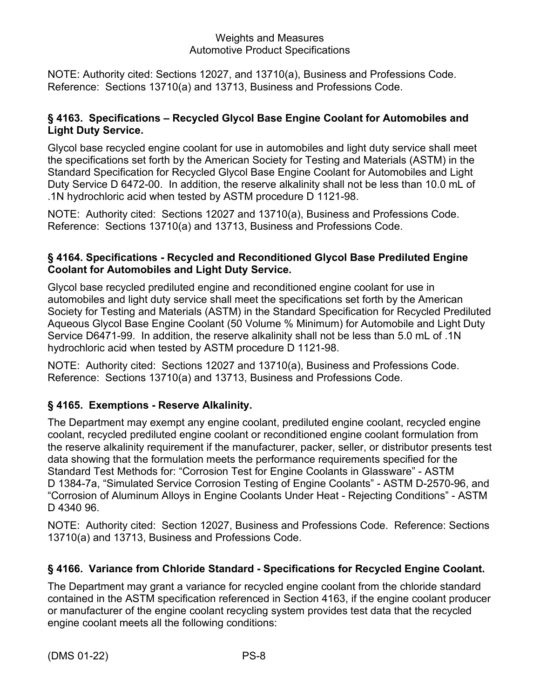NOTE: Authority cited: Sections 12027, and 13710(a), Business and Professions Code. Reference: Sections 13710(a) and 13713, Business and Professions Code.

## <span id="page-11-0"></span>**§ 4163. Specifications – Recycled Glycol Base Engine Coolant for Automobiles and Light Duty Service.**

Glycol base recycled engine coolant for use in automobiles and light duty service shall meet the specifications set forth by the American Society for Testing and Materials (ASTM) in the Standard Specification for Recycled Glycol Base Engine Coolant for Automobiles and Light Duty Service D 6472-00. In addition, the reserve alkalinity shall not be less than 10.0 mL of .1N hydrochloric acid when tested by ASTM procedure D 1121-98.

NOTE: Authority cited: Sections 12027 and 13710(a), Business and Professions Code. Reference: Sections 13710(a) and 13713, Business and Professions Code.

## <span id="page-11-1"></span>**§ 4164. Specifications - Recycled and Reconditioned Glycol Base Prediluted Engine Coolant for Automobiles and Light Duty Service.**

Glycol base recycled prediluted engine and reconditioned engine coolant for use in automobiles and light duty service shall meet the specifications set forth by the American Society for Testing and Materials (ASTM) in the Standard Specification for Recycled Prediluted Aqueous Glycol Base Engine Coolant (50 Volume % Minimum) for Automobile and Light Duty Service D6471-99. In addition, the reserve alkalinity shall not be less than 5.0 mL of .1N hydrochloric acid when tested by ASTM procedure D 1121-98.

NOTE: Authority cited: Sections 12027 and 13710(a), Business and Professions Code. Reference: Sections 13710(a) and 13713, Business and Professions Code.

## <span id="page-11-2"></span>**§ 4165. Exemptions - Reserve Alkalinity.**

The Department may exempt any engine coolant, prediluted engine coolant, recycled engine coolant, recycled prediluted engine coolant or reconditioned engine coolant formulation from the reserve alkalinity requirement if the manufacturer, packer, seller, or distributor presents test data showing that the formulation meets the performance requirements specified for the Standard Test Methods for: "Corrosion Test for Engine Coolants in Glassware" - ASTM D 1384-7a, "Simulated Service Corrosion Testing of Engine Coolants" - ASTM D-2570-96, and "Corrosion of Aluminum Alloys in Engine Coolants Under Heat - Rejecting Conditions" - ASTM D 4340 96.

NOTE: Authority cited: Section 12027, Business and Professions Code. Reference: Sections 13710(a) and 13713, Business and Professions Code.

## <span id="page-11-3"></span>**§ 4166. Variance from Chloride Standard - Specifications for Recycled Engine Coolant.**

The Department may grant a variance for recycled engine coolant from the chloride standard contained in the ASTM specification referenced in Section 4163, if the engine coolant producer or manufacturer of the engine coolant recycling system provides test data that the recycled engine coolant meets all the following conditions: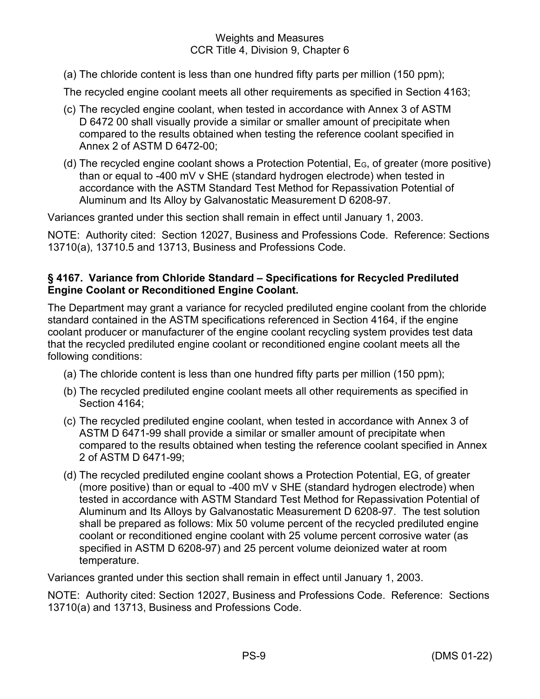(a) The chloride content is less than one hundred fifty parts per million (150 ppm);

The recycled engine coolant meets all other requirements as specified in Section 4163;

- (c) The recycled engine coolant, when tested in accordance with Annex 3 of ASTM D 6472 00 shall visually provide a similar or smaller amount of precipitate when compared to the results obtained when testing the reference coolant specified in Annex 2 of ASTM D 6472-00;
- (d) The recycled engine coolant shows a Protection Potential,  $E_G$ , of greater (more positive) than or equal to -400 mV v SHE (standard hydrogen electrode) when tested in accordance with the ASTM Standard Test Method for Repassivation Potential of Aluminum and Its Alloy by Galvanostatic Measurement D 6208-97.

Variances granted under this section shall remain in effect until January 1, 2003.

NOTE: Authority cited: Section 12027, Business and Professions Code. Reference: Sections 13710(a), 13710.5 and 13713, Business and Professions Code.

## <span id="page-12-0"></span>**§ 4167. Variance from Chloride Standard – Specifications for Recycled Prediluted Engine Coolant or Reconditioned Engine Coolant.**

The Department may grant a variance for recycled prediluted engine coolant from the chloride standard contained in the ASTM specifications referenced in Section 4164, if the engine coolant producer or manufacturer of the engine coolant recycling system provides test data that the recycled prediluted engine coolant or reconditioned engine coolant meets all the following conditions:

- (a) The chloride content is less than one hundred fifty parts per million (150 ppm);
- (b) The recycled prediluted engine coolant meets all other requirements as specified in Section 4164;
- (c) The recycled prediluted engine coolant, when tested in accordance with Annex 3 of ASTM D 6471-99 shall provide a similar or smaller amount of precipitate when compared to the results obtained when testing the reference coolant specified in Annex 2 of ASTM D 6471-99;
- (d) The recycled prediluted engine coolant shows a Protection Potential, EG, of greater (more positive) than or equal to -400 mV v SHE (standard hydrogen electrode) when tested in accordance with ASTM Standard Test Method for Repassivation Potential of Aluminum and Its Alloys by Galvanostatic Measurement D 6208-97. The test solution shall be prepared as follows: Mix 50 volume percent of the recycled prediluted engine coolant or reconditioned engine coolant with 25 volume percent corrosive water (as specified in ASTM D 6208-97) and 25 percent volume deionized water at room temperature.

Variances granted under this section shall remain in effect until January 1, 2003.

NOTE: Authority cited: Section 12027, Business and Professions Code. Reference: Sections 13710(a) and 13713, Business and Professions Code.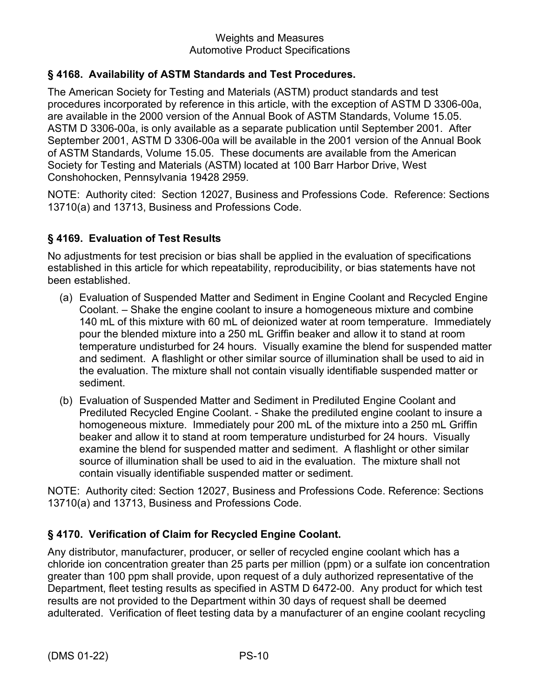## <span id="page-13-0"></span>**§ 4168. Availability of ASTM Standards and Test Procedures.**

The American Society for Testing and Materials (ASTM) product standards and test procedures incorporated by reference in this article, with the exception of ASTM D 3306-00a, are available in the 2000 version of the Annual Book of ASTM Standards, Volume 15.05. ASTM D 3306-00a, is only available as a separate publication until September 2001. After September 2001, ASTM D 3306-00a will be available in the 2001 version of the Annual Book of ASTM Standards, Volume 15.05. These documents are available from the American Society for Testing and Materials (ASTM) located at 100 Barr Harbor Drive, West Conshohocken, Pennsylvania 19428 2959.

NOTE: Authority cited: Section 12027, Business and Professions Code. Reference: Sections 13710(a) and 13713, Business and Professions Code.

## <span id="page-13-1"></span>**§ 4169. Evaluation of Test Results**

No adjustments for test precision or bias shall be applied in the evaluation of specifications established in this article for which repeatability, reproducibility, or bias statements have not been established.

- (a) Evaluation of Suspended Matter and Sediment in Engine Coolant and Recycled Engine Coolant. – Shake the engine coolant to insure a homogeneous mixture and combine 140 mL of this mixture with 60 mL of deionized water at room temperature. Immediately pour the blended mixture into a 250 mL Griffin beaker and allow it to stand at room temperature undisturbed for 24 hours. Visually examine the blend for suspended matter and sediment. A flashlight or other similar source of illumination shall be used to aid in the evaluation. The mixture shall not contain visually identifiable suspended matter or sediment.
- (b) Evaluation of Suspended Matter and Sediment in Prediluted Engine Coolant and Prediluted Recycled Engine Coolant. - Shake the prediluted engine coolant to insure a homogeneous mixture. Immediately pour 200 mL of the mixture into a 250 mL Griffin beaker and allow it to stand at room temperature undisturbed for 24 hours. Visually examine the blend for suspended matter and sediment. A flashlight or other similar source of illumination shall be used to aid in the evaluation. The mixture shall not contain visually identifiable suspended matter or sediment.

NOTE: Authority cited: Section 12027, Business and Professions Code. Reference: Sections 13710(a) and 13713, Business and Professions Code.

## <span id="page-13-2"></span>**§ 4170. Verification of Claim for Recycled Engine Coolant.**

Any distributor, manufacturer, producer, or seller of recycled engine coolant which has a chloride ion concentration greater than 25 parts per million (ppm) or a sulfate ion concentration greater than 100 ppm shall provide, upon request of a duly authorized representative of the Department, fleet testing results as specified in ASTM D 6472-00. Any product for which test results are not provided to the Department within 30 days of request shall be deemed adulterated. Verification of fleet testing data by a manufacturer of an engine coolant recycling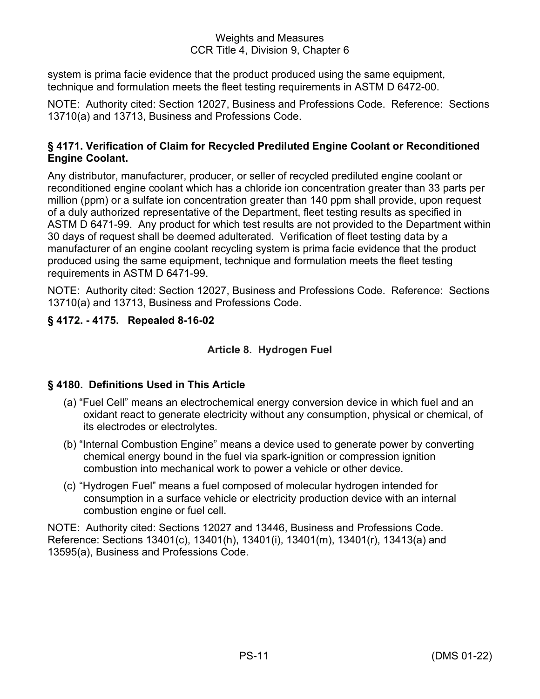system is prima facie evidence that the product produced using the same equipment, technique and formulation meets the fleet testing requirements in ASTM D 6472-00.

NOTE: Authority cited: Section 12027, Business and Professions Code. Reference: Sections 13710(a) and 13713, Business and Professions Code.

## <span id="page-14-0"></span>**§ 4171. Verification of Claim for Recycled Prediluted Engine Coolant or Reconditioned Engine Coolant.**

Any distributor, manufacturer, producer, or seller of recycled prediluted engine coolant or reconditioned engine coolant which has a chloride ion concentration greater than 33 parts per million (ppm) or a sulfate ion concentration greater than 140 ppm shall provide, upon request of a duly authorized representative of the Department, fleet testing results as specified in ASTM D 6471-99. Any product for which test results are not provided to the Department within 30 days of request shall be deemed adulterated. Verification of fleet testing data by a manufacturer of an engine coolant recycling system is prima facie evidence that the product produced using the same equipment, technique and formulation meets the fleet testing requirements in ASTM D 6471-99.

NOTE: Authority cited: Section 12027, Business and Professions Code. Reference: Sections 13710(a) and 13713, Business and Professions Code.

## <span id="page-14-2"></span><span id="page-14-1"></span>**§ 4172. - 4175. Repealed 8-16-02**

## **Article 8. Hydrogen Fuel**

## <span id="page-14-3"></span>**§ 4180. Definitions Used in This Article**

- (a) "Fuel Cell" means an electrochemical energy conversion device in which fuel and an oxidant react to generate electricity without any consumption, physical or chemical, of its electrodes or electrolytes.
- (b) "Internal Combustion Engine" means a device used to generate power by converting chemical energy bound in the fuel via spark-ignition or compression ignition combustion into mechanical work to power a vehicle or other device.
- (c) "Hydrogen Fuel" means a fuel composed of molecular hydrogen intended for consumption in a surface vehicle or electricity production device with an internal combustion engine or fuel cell.

NOTE: Authority cited: Sections 12027 and 13446, Business and Professions Code. Reference: Sections 13401(c), 13401(h), 13401(i), 13401(m), 13401(r), 13413(a) and 13595(a), Business and Professions Code.